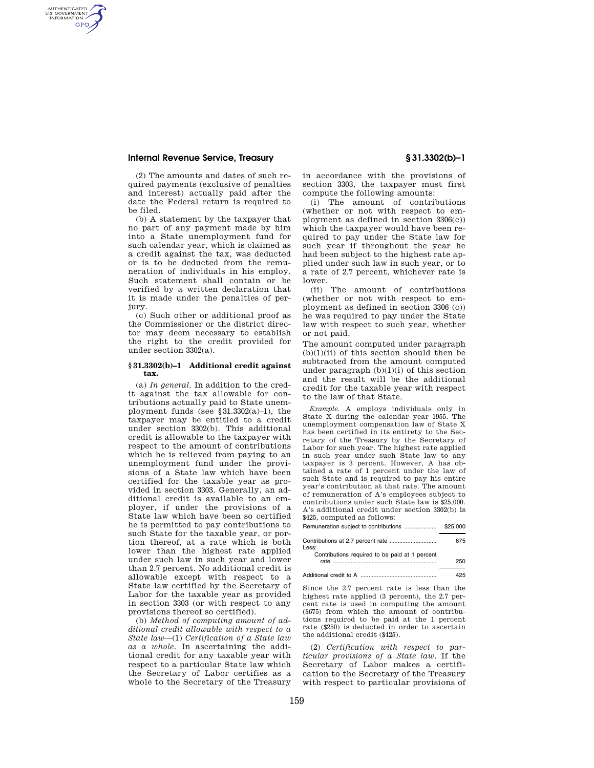## **Internal Revenue Service, Treasury § 31.3302(b)–1**

AUTHENTICATED<br>U.S. GOVERNMENT<br>INFORMATION **GPO** 

> (2) The amounts and dates of such required payments (exclusive of penalties and interest) actually paid after the date the Federal return is required to be filed.

> (b) A statement by the taxpayer that no part of any payment made by him into a State unemployment fund for such calendar year, which is claimed as a credit against the tax, was deducted or is to be deducted from the remuneration of individuals in his employ. Such statement shall contain or be verified by a written declaration that it is made under the penalties of perjury.

> (c) Such other or additional proof as the Commissioner or the district director may deem necessary to establish the right to the credit provided for under section 3302(a).

#### **§ 31.3302(b)–1 Additional credit against tax.**

(a) *In general.* In addition to the credit against the tax allowable for contributions actually paid to State unemployment funds (see §31.3302(a)–1), the taxpayer may be entitled to a credit under section 3302(b). This additional credit is allowable to the taxpayer with respect to the amount of contributions which he is relieved from paying to an unemployment fund under the provisions of a State law which have been certified for the taxable year as provided in section 3303. Generally, an additional credit is available to an employer, if under the provisions of a State law which have been so certified he is permitted to pay contributions to such State for the taxable year, or portion thereof, at a rate which is both lower than the highest rate applied under such law in such year and lower than 2.7 percent. No additional credit is allowable except with respect to a State law certified by the Secretary of Labor for the taxable year as provided in section 3303 (or with respect to any provisions thereof so certified).

(b) *Method of computing amount of additional credit allowable with respect to a State law*—(1) *Certification of a State law as a whole.* In ascertaining the additional credit for any taxable year with respect to a particular State law which the Secretary of Labor certifies as a whole to the Secretary of the Treasury

in accordance with the provisions of section 3303, the taxpayer must first compute the following amounts:

(i) The amount of contributions (whether or not with respect to employment as defined in section 3306(c)) which the taxpayer would have been required to pay under the State law for such year if throughout the year he had been subject to the highest rate applied under such law in such year, or to a rate of 2.7 percent, whichever rate is lower.

(ii) The amount of contributions (whether or not with respect to employment as defined in section 3306 (c)) he was required to pay under the State law with respect to such year, whether or not paid.

The amount computed under paragraph  $(b)(1)(ii)$  of this section should then be subtracted from the amount computed under paragraph  $(b)(1)(i)$  of this section and the result will be the additional credit for the taxable year with respect to the law of that State.

*Example.* A employs individuals only in State X during the calendar year 1955. The unemployment compensation law of State X has been certified in its entirety to the Secretary of the Treasury by the Secretary of Labor for such year. The highest rate applied in such year under such State law to any taxpayer is 3 percent. However, A has obtained a rate of 1 percent under the law of such State and is required to pay his entire year's contribution at that rate. The amount of remuneration of A's employees subject to contributions under such State law is \$25,000. A's additional credit under section 3302(b) is \$425, computed as follows:

| Remuneration subject to contributions          | \$25,000 |
|------------------------------------------------|----------|
| Less:                                          | 675      |
| Contributions required to be paid at 1 percent | 250      |

Additional credit to A ............................................... 425

Since the 2.7 percent rate is less than the highest rate applied (3 percent), the 2.7 percent rate is used in computing the amount (\$675) from which the amount of contributions required to be paid at the 1 percent rate (\$250) is deducted in order to ascertain the additional credit (\$425).

(2) *Certification with respect to particular provisions of a State law.* If the Secretary of Labor makes a certification to the Secretary of the Treasury with respect to particular provisions of